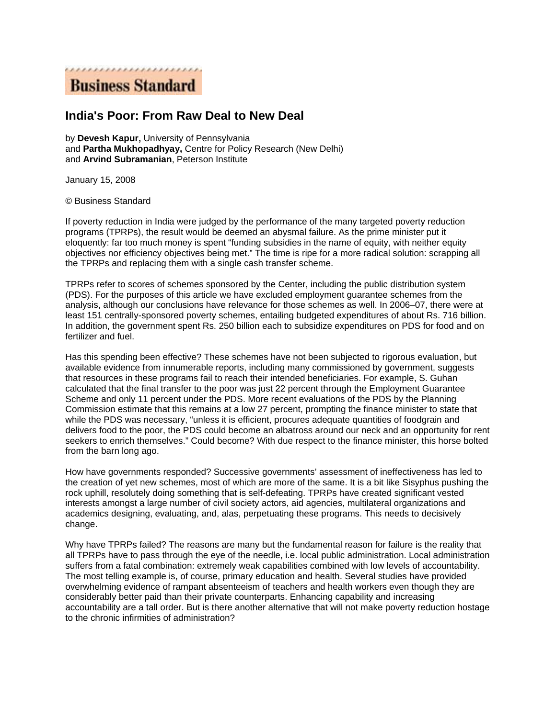

## **India's Poor: From Raw Deal to New Deal**

by **Devesh Kapur,** University of Pennsylvania and **Partha Mukhopadhyay,** Centre for Policy Research (New Delhi) and **Arvind Subramanian**, Peterson Institute

January 15, 2008

© Business Standard

If poverty reduction in India were judged by the performance of the many targeted poverty reduction programs (TPRPs), the result would be deemed an abysmal failure. As the prime minister put it eloquently: far too much money is spent "funding subsidies in the name of equity, with neither equity objectives nor efficiency objectives being met." The time is ripe for a more radical solution: scrapping all the TPRPs and replacing them with a single cash transfer scheme.

TPRPs refer to scores of schemes sponsored by the Center, including the public distribution system (PDS). For the purposes of this article we have excluded employment guarantee schemes from the analysis, although our conclusions have relevance for those schemes as well. In 2006–07, there were at least 151 centrally-sponsored poverty schemes, entailing budgeted expenditures of about Rs. 716 billion. In addition, the government spent Rs. 250 billion each to subsidize expenditures on PDS for food and on fertilizer and fuel.

Has this spending been effective? These schemes have not been subjected to rigorous evaluation, but available evidence from innumerable reports, including many commissioned by government, suggests that resources in these programs fail to reach their intended beneficiaries. For example, S. Guhan calculated that the final transfer to the poor was just 22 percent through the Employment Guarantee Scheme and only 11 percent under the PDS. More recent evaluations of the PDS by the Planning Commission estimate that this remains at a low 27 percent, prompting the finance minister to state that while the PDS was necessary, "unless it is efficient, procures adequate quantities of foodgrain and delivers food to the poor, the PDS could become an albatross around our neck and an opportunity for rent seekers to enrich themselves." Could become? With due respect to the finance minister, this horse bolted from the barn long ago.

How have governments responded? Successive governments' assessment of ineffectiveness has led to the creation of yet new schemes, most of which are more of the same. It is a bit like Sisyphus pushing the rock uphill, resolutely doing something that is self-defeating. TPRPs have created significant vested interests amongst a large number of civil society actors, aid agencies, multilateral organizations and academics designing, evaluating, and, alas, perpetuating these programs. This needs to decisively change.

Why have TPRPs failed? The reasons are many but the fundamental reason for failure is the reality that all TPRPs have to pass through the eye of the needle, i.e. local public administration. Local administration suffers from a fatal combination: extremely weak capabilities combined with low levels of accountability. The most telling example is, of course, primary education and health. Several studies have provided overwhelming evidence of rampant absenteeism of teachers and health workers even though they are considerably better paid than their private counterparts. Enhancing capability and increasing accountability are a tall order. But is there another alternative that will not make poverty reduction hostage to the chronic infirmities of administration?